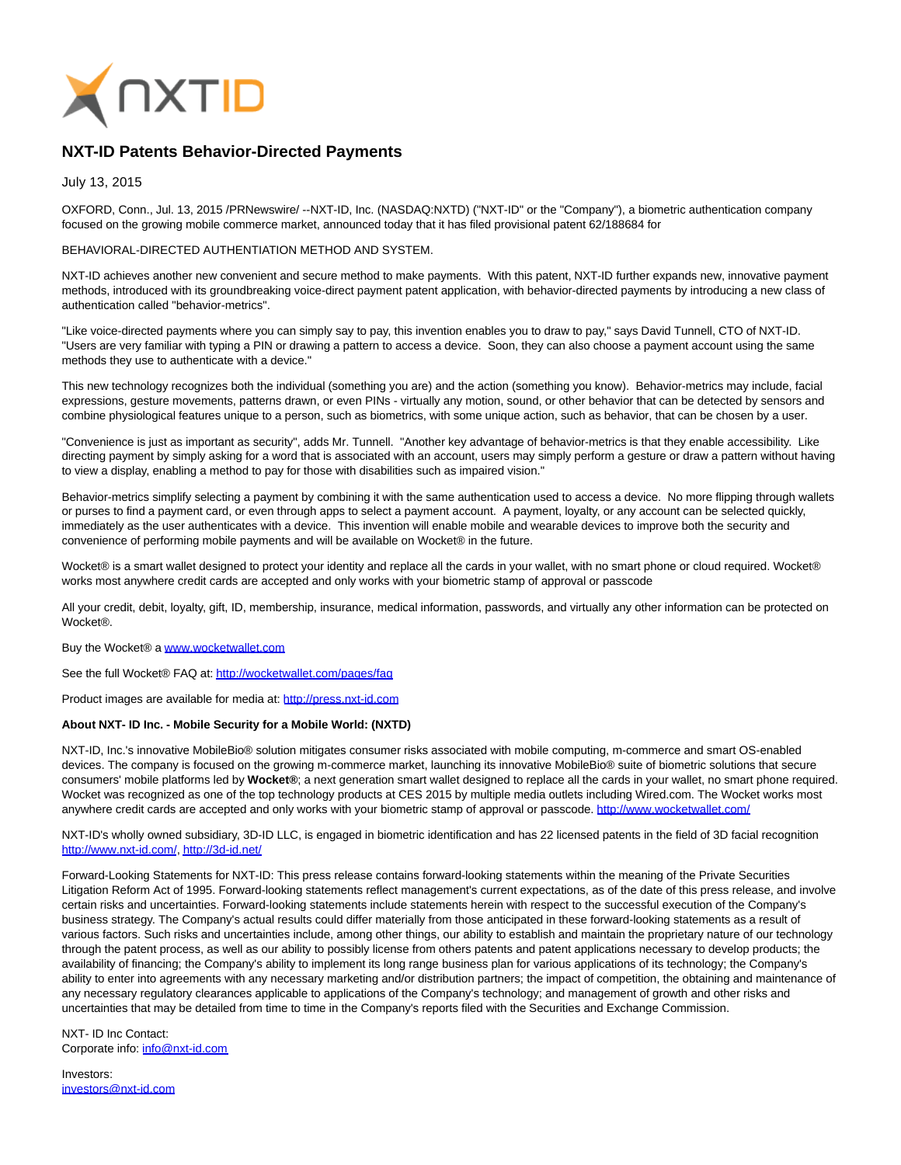

## **NXT-ID Patents Behavior-Directed Payments**

July 13, 2015

OXFORD, Conn., Jul. 13, 2015 /PRNewswire/ --NXT-ID, Inc. (NASDAQ:NXTD) ("NXT-ID" or the "Company"), a biometric authentication company focused on the growing mobile commerce market, announced today that it has filed provisional patent 62/188684 for

## BEHAVIORAL-DIRECTED AUTHENTIATION METHOD AND SYSTEM.

NXT-ID achieves another new convenient and secure method to make payments. With this patent, NXT-ID further expands new, innovative payment methods, introduced with its groundbreaking voice-direct payment patent application, with behavior-directed payments by introducing a new class of authentication called "behavior-metrics".

"Like voice-directed payments where you can simply say to pay, this invention enables you to draw to pay," says David Tunnell, CTO of NXT-ID. "Users are very familiar with typing a PIN or drawing a pattern to access a device. Soon, they can also choose a payment account using the same methods they use to authenticate with a device."

This new technology recognizes both the individual (something you are) and the action (something you know). Behavior-metrics may include, facial expressions, gesture movements, patterns drawn, or even PINs - virtually any motion, sound, or other behavior that can be detected by sensors and combine physiological features unique to a person, such as biometrics, with some unique action, such as behavior, that can be chosen by a user.

"Convenience is just as important as security", adds Mr. Tunnell. "Another key advantage of behavior-metrics is that they enable accessibility. Like directing payment by simply asking for a word that is associated with an account, users may simply perform a gesture or draw a pattern without having to view a display, enabling a method to pay for those with disabilities such as impaired vision."

Behavior-metrics simplify selecting a payment by combining it with the same authentication used to access a device. No more flipping through wallets or purses to find a payment card, or even through apps to select a payment account. A payment, loyalty, or any account can be selected quickly, immediately as the user authenticates with a device. This invention will enable mobile and wearable devices to improve both the security and convenience of performing mobile payments and will be available on Wocket® in the future.

Wocket® is a smart wallet designed to protect your identity and replace all the cards in your wallet, with no smart phone or cloud required. Wocket® works most anywhere credit cards are accepted and only works with your biometric stamp of approval or passcode

All your credit, debit, loyalty, gift, ID, membership, insurance, medical information, passwords, and virtually any other information can be protected on Wocket®.

## Buy the Wocket® a [www.wocketwallet.com](http://www.wocketwallet.com/)

See the full Wocket® FAQ at:<http://wocketwallet.com/pages/faq>

Product images are available for media at: [http://press.nxt-id.com](http://press.nxt-id.com/)

## **About NXT- ID Inc. - Mobile Security for a Mobile World: (NXTD)**

NXT-ID, Inc.'s innovative MobileBio® solution mitigates consumer risks associated with mobile computing, m-commerce and smart OS-enabled devices. The company is focused on the growing m-commerce market, launching its innovative MobileBio® suite of biometric solutions that secure consumers' mobile platforms led by **Wocket®**; a next generation smart wallet designed to replace all the cards in your wallet, no smart phone required. Wocket was recognized as one of the top technology products at CES 2015 by multiple media outlets including Wired.com. The Wocket works most anywhere credit cards are accepted and only works with your biometric stamp of approval or passcode.<http://www.wocketwallet.com/>

NXT-ID's wholly owned subsidiary, 3D-ID LLC, is engaged in biometric identification and has 22 licensed patents in the field of 3D facial recognition [http://www.nxt-id.com/,](http://www.nxt-id.com/)<http://3d-id.net/>

Forward-Looking Statements for NXT-ID: This press release contains forward-looking statements within the meaning of the Private Securities Litigation Reform Act of 1995. Forward-looking statements reflect management's current expectations, as of the date of this press release, and involve certain risks and uncertainties. Forward-looking statements include statements herein with respect to the successful execution of the Company's business strategy. The Company's actual results could differ materially from those anticipated in these forward-looking statements as a result of various factors. Such risks and uncertainties include, among other things, our ability to establish and maintain the proprietary nature of our technology through the patent process, as well as our ability to possibly license from others patents and patent applications necessary to develop products; the availability of financing; the Company's ability to implement its long range business plan for various applications of its technology; the Company's ability to enter into agreements with any necessary marketing and/or distribution partners; the impact of competition, the obtaining and maintenance of any necessary regulatory clearances applicable to applications of the Company's technology; and management of growth and other risks and uncertainties that may be detailed from time to time in the Company's reports filed with the Securities and Exchange Commission.

NXT- ID Inc Contact: Corporate info: [info@nxt-id.com](mailto:info@nxt-id.com)

Investors: [investors@nxt-id.com](mailto:investors@nxt-id.com)